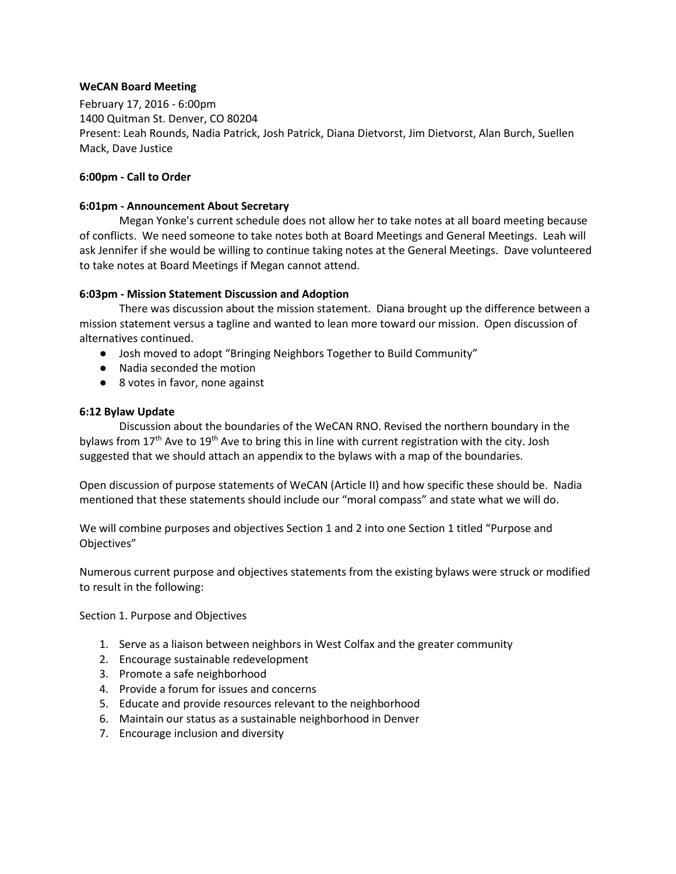# **WeCAN Board Meeting**

February 17, 2016 - 6:00pm 1400 Quitman St. Denver, CO 80204 Present: Leah Rounds, Nadia Patrick, Josh Patrick, Diana Dietvorst, Jim Dietvorst, Alan Burch, Suellen Mack, Dave Justice

## **6:00pm - Call to Order**

## **6:01pm - Announcement About Secretary**

Megan Yonke's current schedule does not allow her to take notes at all board meeting because of conflicts. We need someone to take notes both at Board Meetings and General Meetings. Leah will ask Jennifer if she would be willing to continue taking notes at the General Meetings. Dave volunteered to take notes at Board Meetings if Megan cannot attend.

## **6:03pm - Mission Statement Discussion and Adoption**

There was discussion about the mission statement. Diana brought up the difference between a mission statement versus a tagline and wanted to lean more toward our mission. Open discussion of alternatives continued.

- Josh moved to adopt "Bringing Neighbors Together to Build Community"
- Nadia seconded the motion
- 8 votes in favor, none against

## **6:12 Bylaw Update**

Discussion about the boundaries of the WeCAN RNO. Revised the northern boundary in the bylaws from  $17<sup>th</sup>$  Ave to  $19<sup>th</sup>$  Ave to bring this in line with current registration with the city. Josh suggested that we should attach an appendix to the bylaws with a map of the boundaries.

Open discussion of purpose statements of WeCAN (Article II) and how specific these should be. Nadia mentioned that these statements should include our "moral compass" and state what we will do.

We will combine purposes and objectives Section 1 and 2 into one Section 1 titled "Purpose and Objectives"

Numerous current purpose and objectives statements from the existing bylaws were struck or modified to result in the following:

Section 1. Purpose and Objectives

- 1. Serve as a liaison between neighbors in West Colfax and the greater community
- 2. Encourage sustainable redevelopment
- 3. Promote a safe neighborhood
- 4. Provide a forum for issues and concerns
- 5. Educate and provide resources relevant to the neighborhood
- 6. Maintain our status as a sustainable neighborhood in Denver
- 7. Encourage inclusion and diversity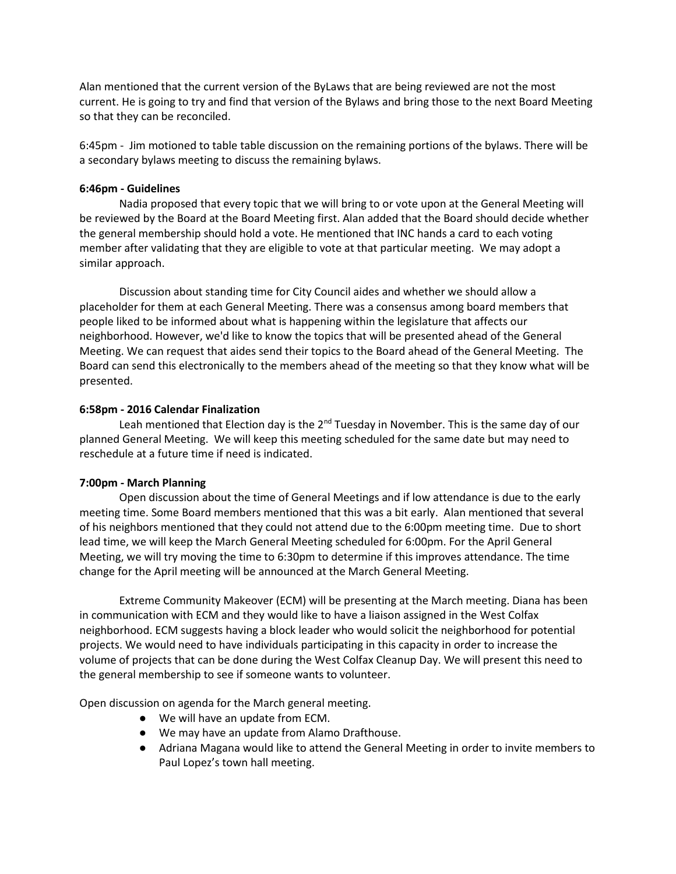Alan mentioned that the current version of the ByLaws that are being reviewed are not the most current. He is going to try and find that version of the Bylaws and bring those to the next Board Meeting so that they can be reconciled.

6:45pm - Jim motioned to table table discussion on the remaining portions of the bylaws. There will be a secondary bylaws meeting to discuss the remaining bylaws.

## **6:46pm - Guidelines**

Nadia proposed that every topic that we will bring to or vote upon at the General Meeting will be reviewed by the Board at the Board Meeting first. Alan added that the Board should decide whether the general membership should hold a vote. He mentioned that INC hands a card to each voting member after validating that they are eligible to vote at that particular meeting. We may adopt a similar approach.

Discussion about standing time for City Council aides and whether we should allow a placeholder for them at each General Meeting. There was a consensus among board members that people liked to be informed about what is happening within the legislature that affects our neighborhood. However, we'd like to know the topics that will be presented ahead of the General Meeting. We can request that aides send their topics to the Board ahead of the General Meeting. The Board can send this electronically to the members ahead of the meeting so that they know what will be presented.

## **6:58pm - 2016 Calendar Finalization**

Leah mentioned that Election day is the  $2<sup>nd</sup>$  Tuesday in November. This is the same day of our planned General Meeting. We will keep this meeting scheduled for the same date but may need to reschedule at a future time if need is indicated.

### **7:00pm - March Planning**

Open discussion about the time of General Meetings and if low attendance is due to the early meeting time. Some Board members mentioned that this was a bit early. Alan mentioned that several of his neighbors mentioned that they could not attend due to the 6:00pm meeting time. Due to short lead time, we will keep the March General Meeting scheduled for 6:00pm. For the April General Meeting, we will try moving the time to 6:30pm to determine if this improves attendance. The time change for the April meeting will be announced at the March General Meeting.

Extreme Community Makeover (ECM) will be presenting at the March meeting. Diana has been in communication with ECM and they would like to have a liaison assigned in the West Colfax neighborhood. ECM suggests having a block leader who would solicit the neighborhood for potential projects. We would need to have individuals participating in this capacity in order to increase the volume of projects that can be done during the West Colfax Cleanup Day. We will present this need to the general membership to see if someone wants to volunteer.

Open discussion on agenda for the March general meeting.

- We will have an update from ECM.
- We may have an update from Alamo Drafthouse.
- Adriana Magana would like to attend the General Meeting in order to invite members to Paul Lopez's town hall meeting.